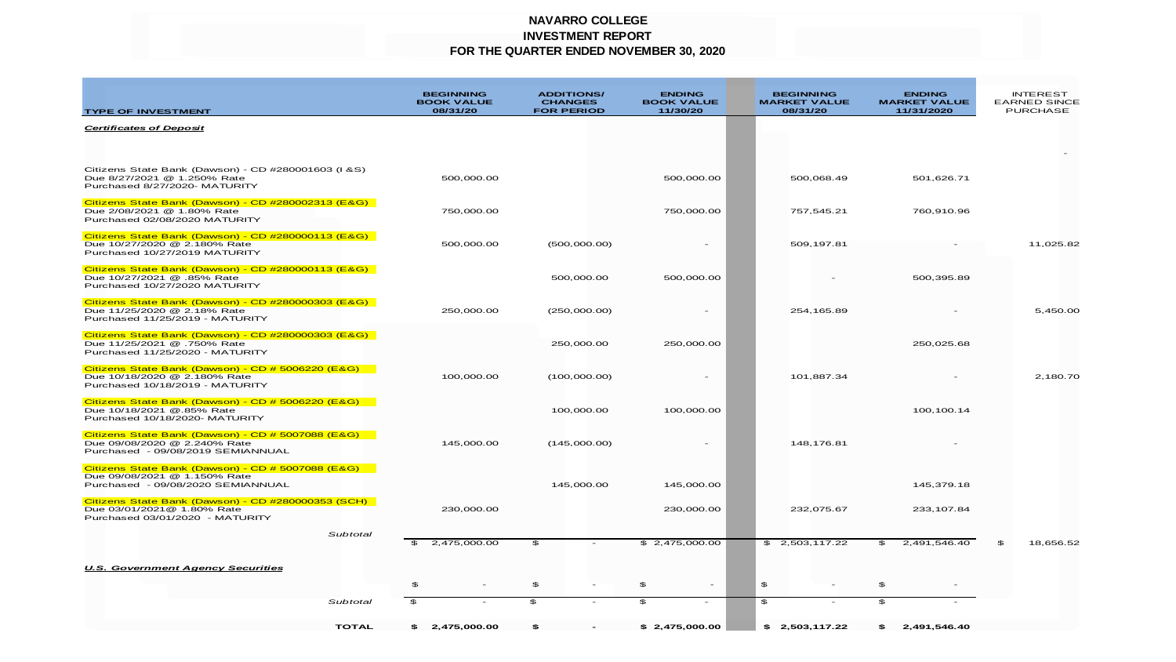### **NAVARRO COLLEGE INVESTMENT REPORT FOR THE QUARTER ENDED NOVEMBER 30, 2020**

| <b>TYPE OF INVESTMENT</b>                                                                                              |                    | <b>BEGINNING</b><br><b>BOOK VALUE</b><br>08/31/20 | <b>ADDITIONS/</b><br><b>CHANGES</b><br><b>FOR PERIOD</b> | <b>ENDING</b><br><b>BOOK VALUE</b><br>11/30/20 | <b>BEGINNING</b><br><b>MARKET VALUE</b><br>08/31/20 | <b>ENDING</b><br><b>MARKET VALUE</b><br>11/31/2020 | <b>INTEREST</b><br><b>EARNED SINCE</b><br><b>PURCHASE</b> |
|------------------------------------------------------------------------------------------------------------------------|--------------------|---------------------------------------------------|----------------------------------------------------------|------------------------------------------------|-----------------------------------------------------|----------------------------------------------------|-----------------------------------------------------------|
| <b>Certificates of Deposit</b>                                                                                         |                    |                                                   |                                                          |                                                |                                                     |                                                    |                                                           |
|                                                                                                                        |                    |                                                   |                                                          |                                                |                                                     |                                                    |                                                           |
| Citizens State Bank (Dawson) - CD #280001603 (I &S)<br>Due 8/27/2021 @ 1.250% Rate<br>Purchased 8/27/2020- MATURITY    |                    | 500,000.00                                        |                                                          | 500,000.00                                     | 500,068.49                                          | 501,626.71                                         |                                                           |
| Citizens State Bank (Dawson) - CD #280002313 (E&G)<br>Due 2/08/2021 @ 1.80% Rate<br>Purchased 02/08/2020 MATURITY      |                    | 750,000.00                                        |                                                          | 750,000.00                                     | 757,545.21                                          | 760,910.96                                         |                                                           |
| Citizens State Bank (Dawson) - CD #280000113 (E&G)<br>Due 10/27/2020 @ 2.180% Rate<br>Purchased 10/27/2019 MATURITY    |                    | 500,000.00                                        | (500,000.00)                                             | $\overline{\phantom{a}}$                       | 509,197.81                                          |                                                    | 11,025.82                                                 |
| Citizens State Bank (Dawson) - CD #280000113 (E&G)<br>Due 10/27/2021 @ .85% Rate<br>Purchased 10/27/2020 MATURITY      |                    |                                                   | 500.000.00                                               | 500,000,00                                     |                                                     | 500.395.89                                         |                                                           |
| Citizens State Bank (Dawson) - CD #280000303 (E&G)<br>Due 11/25/2020 @ 2.18% Rate<br>Purchased 11/25/2019 - MATURITY   |                    | 250,000.00                                        | (250,000.00)                                             | $\overline{\phantom{a}}$                       | 254,165.89                                          |                                                    | 5,450.00                                                  |
| Citizens State Bank (Dawson) - CD #280000303 (E&G)<br>Due 11/25/2021 @ .750% Rate<br>Purchased 11/25/2020 - MATURITY   |                    |                                                   | 250,000.00                                               | 250,000.00                                     |                                                     | 250,025.68                                         |                                                           |
| Citizens State Bank (Dawson) - CD # 5006220 (E&G)<br>Due 10/18/2020 @ 2.180% Rate<br>Purchased 10/18/2019 - MATURITY   |                    | 100,000.00                                        | (100,000.00)                                             | $\overline{\phantom{a}}$                       | 101.887.34                                          |                                                    | 2,180.70                                                  |
| Citizens State Bank (Dawson) - CD # 5006220 (E&G)<br>Due 10/18/2021 @.85% Rate<br>Purchased 10/18/2020- MATURITY       |                    |                                                   | 100,000.00                                               | 100,000.00                                     |                                                     | 100, 100.14                                        |                                                           |
| Citizens State Bank (Dawson) - CD # 5007088 (E&G)<br>Due 09/08/2020 @ 2.240% Rate<br>Purchased - 09/08/2019 SEMIANNUAL |                    | 145,000.00                                        | (145,000.00)                                             |                                                | 148,176.81                                          |                                                    |                                                           |
| Citizens State Bank (Dawson) - CD # 5007088 (E&G)<br>Due 09/08/2021 @ 1.150% Rate<br>Purchased - 09/08/2020 SEMIANNUAL |                    |                                                   | 145,000.00                                               | 145,000.00                                     |                                                     | 145,379.18                                         |                                                           |
| Citizens State Bank (Dawson) - CD #280000353 (SCH)<br>Due 03/01/2021@ 1.80% Rate<br>Purchased 03/01/2020 - MATURITY    |                    | 230,000.00                                        |                                                          | 230,000.00                                     | 232,075.67                                          | 233, 107.84                                        |                                                           |
|                                                                                                                        | Subtotal           | 2,475,000.00                                      | \$                                                       | \$2,475,000.00                                 | \$2,503,117.22                                      | 2,491,546.40<br>\$                                 | \$<br>18,656.52                                           |
| <b>U.S. Government Agency Securities</b>                                                                               |                    |                                                   |                                                          |                                                |                                                     |                                                    |                                                           |
|                                                                                                                        | \$<br>$\mathbf{E}$ |                                                   | \$<br>$\overline{\phantom{a}}$<br>$\mathfrak{P}$         | \$<br>$\sim$<br>\$                             | \$<br>\$                                            | \$<br>$\overline{\phantom{a}}$<br>$\mathbf{s}$     |                                                           |
|                                                                                                                        | Subtotal           |                                                   |                                                          |                                                |                                                     |                                                    |                                                           |
|                                                                                                                        | <b>TOTAL</b>       | \$2.475.000.00                                    | $\hat{\mathbf{r}}$                                       | \$2.475.000.00                                 | \$2,503,117.22                                      | 2.491.546.40                                       |                                                           |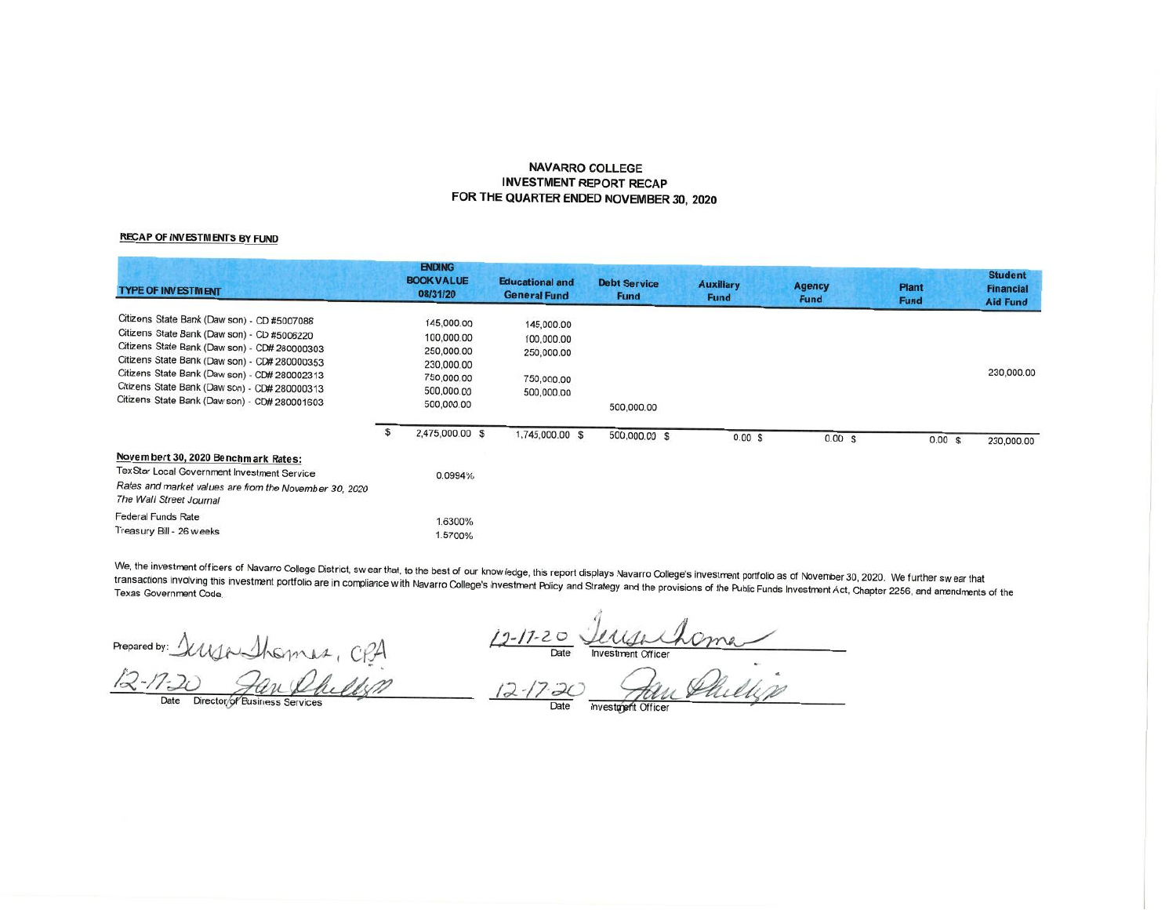#### **NAVARRO COLLEGE INVESTMENT REPORT RECAP** FOR THE QUARTER ENDED NOVEMBER 30, 2020

#### **RECAP OF INVESTMENTS BY FUND**

| <b>TYPE OF INVESTMENT</b>                                                                                                                                                                                                                                                                                                                       | <b>ENDING</b><br><b>BOOK VALUE</b><br>08/31/20                                                 | <b>Educational and</b><br><b>General Fund</b>                      | <b>Debt Service</b><br><b>Fund</b> | <b>Auxiliary</b><br><b>Fund</b> | <b>Agency</b><br><b>Fund</b> | <b>Plant</b><br><b>Fund</b> | <b>Student</b><br><b>Financial</b><br><b>Aid Fund</b> |
|-------------------------------------------------------------------------------------------------------------------------------------------------------------------------------------------------------------------------------------------------------------------------------------------------------------------------------------------------|------------------------------------------------------------------------------------------------|--------------------------------------------------------------------|------------------------------------|---------------------------------|------------------------------|-----------------------------|-------------------------------------------------------|
| Citizens State Bank (Daw son) - CD #5007088<br>Citizens State Bank (Daw son) - CD #5006220<br>Citizens State Bank (Daw son) - CD# 280000303<br>Citizens State Bank (Daw son) - CD# 280000353<br>Citizens State Bank (Daw son) - CD# 280002313<br>Citizens State Bank (Daw son) - CD# 280000313<br>Citizens State Bank (Daw son) - CD# 280001603 | 145,000.00<br>100,000.00<br>250,000.00<br>230,000.00<br>750,000.00<br>500,000.00<br>500,000.00 | 145,000.00<br>100,000.00<br>250,000.00<br>750,000.00<br>500,000.00 | 500,000.00                         |                                 |                              |                             | 230,000.00                                            |
|                                                                                                                                                                                                                                                                                                                                                 | \$<br>2,475,000.00 \$                                                                          | 1,745,000.00 \$                                                    | 500,000.00 \$                      | 0.00 S                          | $0.00$ \$                    | 0.00S                       | 230,000.00                                            |
| Novembert 30, 2020 Benchmark Rates:<br>TexStar Local Government Investment Service<br>Rates and market values are from the November 30, 2020<br>The Wall Street Journal                                                                                                                                                                         | 0.0994%                                                                                        |                                                                    |                                    |                                 |                              |                             |                                                       |
| <b>Federal Funds Rate</b><br>Treasury Bill - 26 w eeks                                                                                                                                                                                                                                                                                          | 1.6300%<br>1.5700%                                                                             |                                                                    |                                    |                                 |                              |                             |                                                       |

We, the investment officers of Navarro College District, swear that, to the best of our know ledge, this report displays Navarro College's investment portfolio as of November 30, 2020. We further swear that transactions involving this investment portfolio are in compliance with Navarro College's Investment Policy and Strategy and the provisions of the Public Funds Investment Act, Chapter 2256, and amendments of the

Prepared by: Illya Sherman,

 $12-17-20$  Date Investment Officer

Date Director/of Business Services

Date<br> $12 - 17 - 20$ Date

Investment Officer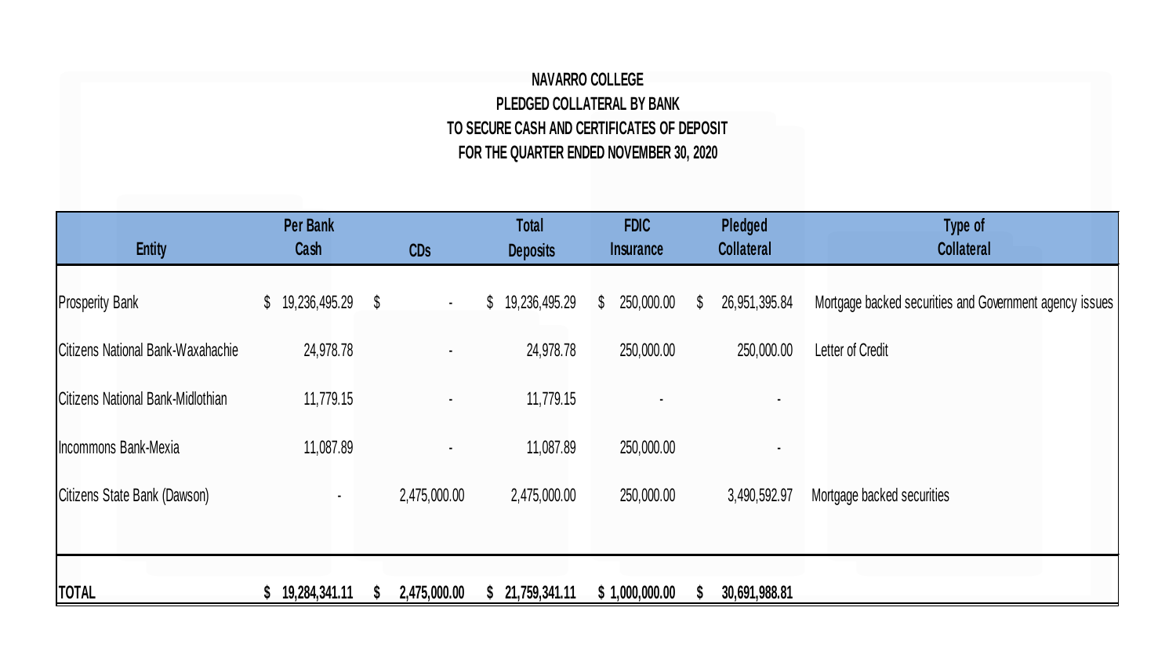## **NAVARRO COLLEGE PLEDGED COLLATERAL BY BANK TO SECURE CASH AND CERTIFICATES OF DEPOSIT FOR THE QUARTER ENDED NOVEMBER 30, 2020**

| <b>Entity</b>                     | <b>Per Bank</b><br>Cash          | <b>CDs</b>     | <b>Total</b><br><b>Deposits</b> | <b>FDIC</b><br>Insurance   | Pledged<br><b>Collateral</b>  | Type of<br><b>Collateral</b>                            |
|-----------------------------------|----------------------------------|----------------|---------------------------------|----------------------------|-------------------------------|---------------------------------------------------------|
| <b>Prosperity Bank</b>            | 19,236,495.29 \$<br>$\mathbb{S}$ | $\blacksquare$ | \$19,236,495.29                 | 250,000.00<br>$\mathbb{S}$ | $\mathbb{S}$<br>26,951,395.84 | Mortgage backed securities and Government agency issues |
| Citizens National Bank-Waxahachie | 24,978.78                        |                | 24,978.78                       | 250,000.00                 | 250,000.00                    | Letter of Credit                                        |
| Citizens National Bank-Midlothian | 11,779.15                        |                | 11,779.15                       |                            |                               |                                                         |
| Incommons Bank-Mexia              | 11,087.89                        |                | 11,087.89                       | 250,000.00                 |                               |                                                         |
| Citizens State Bank (Dawson)      | ٠                                | 2,475,000.00   | 2,475,000.00                    | 250,000.00                 | 3,490,592.97                  | Mortgage backed securities                              |
|                                   |                                  |                |                                 |                            |                               |                                                         |
| <b>TOTAL</b>                      | 19,284,341.11                    | 2,475,000.00   | 21,759,341.11                   | \$1,000,000.00             | 30,691,988.81                 |                                                         |